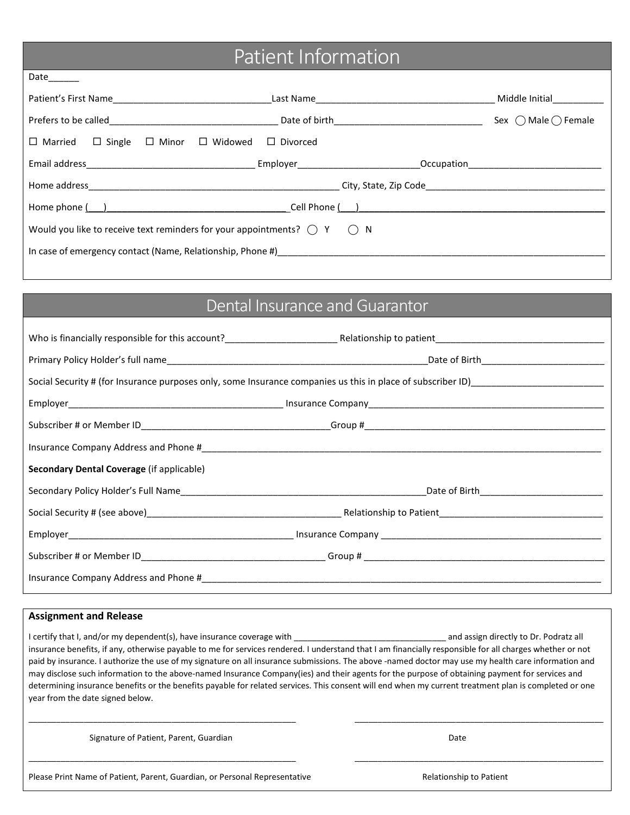## Patient Information

| $Date$ <sub>____</sub>                                                                                                                                                                                                                               |                                                                                                                                                                                                                               |  |                                     |  |  |  |
|------------------------------------------------------------------------------------------------------------------------------------------------------------------------------------------------------------------------------------------------------|-------------------------------------------------------------------------------------------------------------------------------------------------------------------------------------------------------------------------------|--|-------------------------------------|--|--|--|
|                                                                                                                                                                                                                                                      |                                                                                                                                                                                                                               |  | Middle Initial                      |  |  |  |
|                                                                                                                                                                                                                                                      |                                                                                                                                                                                                                               |  | Sex $\bigcap$ Male $\bigcap$ Female |  |  |  |
| $\Box$ Married $\Box$ Single $\Box$ Minor                                                                                                                                                                                                            | $\Box$ Widowed<br>$\Box$ Divorced                                                                                                                                                                                             |  |                                     |  |  |  |
|                                                                                                                                                                                                                                                      | Email address and the contract of the contract of the Employer contract of the Cocupation Contract of the Contract of the Employer contract of the Cocupation of the Contract of the Contract of the Contract of the Contract |  |                                     |  |  |  |
|                                                                                                                                                                                                                                                      | City, State, Zip Code Care and The City, State, Zip                                                                                                                                                                           |  |                                     |  |  |  |
| Home phone ( ___ )<br>Cell Phone ( ) and the state of the state of the state of the state of the state of the state of the state of the state of the state of the state of the state of the state of the state of the state of the state of the stat |                                                                                                                                                                                                                               |  |                                     |  |  |  |
| Would you like to receive text reminders for your appointments? $\bigcap Y$ $\bigcap N$                                                                                                                                                              |                                                                                                                                                                                                                               |  |                                     |  |  |  |
| In case of emergency contact (Name, Relationship, Phone #)                                                                                                                                                                                           |                                                                                                                                                                                                                               |  |                                     |  |  |  |
|                                                                                                                                                                                                                                                      |                                                                                                                                                                                                                               |  |                                     |  |  |  |

## Dental Insurance and Guarantor

| Social Security # (for Insurance purposes only, some Insurance companies us this in place of subscriber ID) [100] |                                                                                                                                                                                                                               |  |  |  |
|-------------------------------------------------------------------------------------------------------------------|-------------------------------------------------------------------------------------------------------------------------------------------------------------------------------------------------------------------------------|--|--|--|
|                                                                                                                   |                                                                                                                                                                                                                               |  |  |  |
|                                                                                                                   |                                                                                                                                                                                                                               |  |  |  |
|                                                                                                                   |                                                                                                                                                                                                                               |  |  |  |
| Secondary Dental Coverage (if applicable)                                                                         |                                                                                                                                                                                                                               |  |  |  |
|                                                                                                                   |                                                                                                                                                                                                                               |  |  |  |
|                                                                                                                   | Social Security # (see above) expansion and security and security and security and security and security and security and security and security and security and security and security and security and security and security |  |  |  |
|                                                                                                                   |                                                                                                                                                                                                                               |  |  |  |
|                                                                                                                   |                                                                                                                                                                                                                               |  |  |  |
|                                                                                                                   |                                                                                                                                                                                                                               |  |  |  |

## **Assignment and Release**

I certify that I, and/or my dependent(s), have insurance coverage with **Example 2018** and assign directly to Dr. Podratz all insurance benefits, if any, otherwise payable to me for services rendered. I understand that I am financially responsible for all charges whether or not paid by insurance. I authorize the use of my signature on all insurance submissions. The above -named doctor may use my health care information and may disclose such information to the above-named Insurance Company(ies) and their agents for the purpose of obtaining payment for services and determining insurance benefits or the benefits payable for related services. This consent will end when my current treatment plan is completed or one year from the date signed below.

\_\_\_\_\_\_\_\_\_\_\_\_\_\_\_\_\_\_\_\_\_\_\_\_\_\_\_\_\_\_\_\_\_\_\_\_\_\_\_\_\_\_\_\_\_\_\_\_\_\_\_\_\_\_\_\_\_\_ \_\_\_\_\_\_\_\_\_\_\_\_\_\_\_\_\_\_\_\_\_\_\_\_\_\_\_\_\_\_\_\_\_\_\_\_\_\_\_\_\_\_\_\_\_\_\_\_\_\_\_\_\_\_

\_\_\_\_\_\_\_\_\_\_\_\_\_\_\_\_\_\_\_\_\_\_\_\_\_\_\_\_\_\_\_\_\_\_\_\_\_\_\_\_\_\_\_\_\_\_\_\_\_\_\_\_\_\_\_\_\_\_ \_\_\_\_\_\_\_\_\_\_\_\_\_\_\_\_\_\_\_\_\_\_\_\_\_\_\_\_\_\_\_\_\_\_\_\_\_\_\_\_\_\_\_\_\_\_\_\_\_\_\_\_\_\_

Signature of Patient, Parent, Guardian Date Date of Patient, Parent Date Date Date

Please Print Name of Patient, Parent, Guardian, or Personal Representative Relationship to Patient